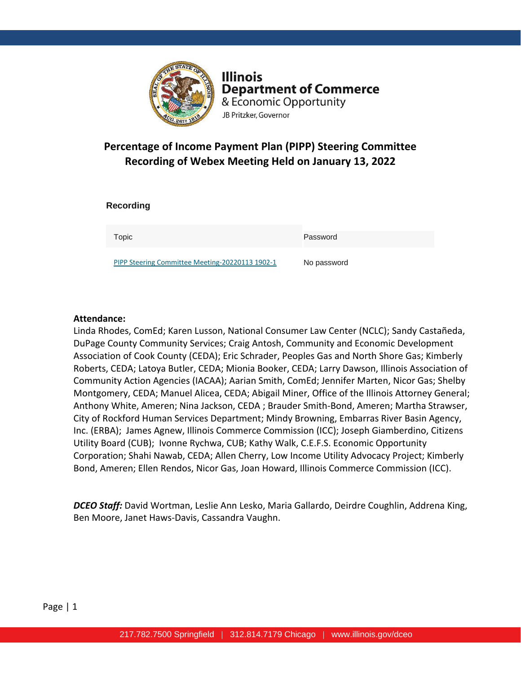

**Illinois Department of Commerce** & Economic Opportunity JB Pritzker, Governor

# **Percentage of Income Payment Plan (PIPP) Steering Committee Recording of Webex Meeting Held on January 13, 2022**

| <b>Recording</b>                                |             |
|-------------------------------------------------|-------------|
| Topic                                           | Password    |
| PIPP Steering Committee Meeting-20220113 1902-1 | No password |

#### **Attendance:**

Linda Rhodes, ComEd; Karen Lusson, National Consumer Law Center (NCLC); Sandy Castañeda, DuPage County Community Services; Craig Antosh, Community and Economic Development Association of Cook County (CEDA); Eric Schrader, Peoples Gas and North Shore Gas; Kimberly Roberts, CEDA; Latoya Butler, CEDA; Mionia Booker, CEDA; Larry Dawson, Illinois Association of Community Action Agencies (IACAA); Aarian Smith, ComEd; Jennifer Marten, Nicor Gas; Shelby Montgomery, CEDA; Manuel Alicea, CEDA; Abigail Miner, Office of the Illinois Attorney General; Anthony White, Ameren; Nina Jackson, CEDA ; Brauder Smith-Bond, Ameren; Martha Strawser, City of Rockford Human Services Department; Mindy Browning, Embarras River Basin Agency, Inc. (ERBA); James Agnew, Illinois Commerce Commission (ICC); Joseph Giamberdino, Citizens Utility Board (CUB); Ivonne Rychwa, CUB; Kathy Walk, C.E.F.S. Economic Opportunity Corporation; Shahi Nawab, CEDA; Allen Cherry, Low Income Utility Advocacy Project; Kimberly Bond, Ameren; Ellen Rendos, Nicor Gas, Joan Howard, Illinois Commerce Commission (ICC).

*DCEO Staff:* David Wortman, Leslie Ann Lesko, Maria Gallardo, Deirdre Coughlin, Addrena King, Ben Moore, Janet Haws-Davis, Cassandra Vaughn.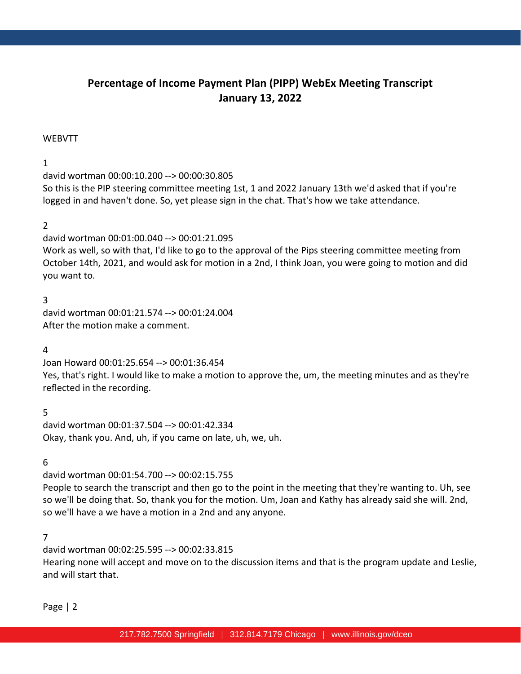# **Percentage of Income Payment Plan (PIPP) WebEx Meeting Transcript January 13, 2022**

#### WEBVTT

### 1

david wortman 00:00:10.200 --> 00:00:30.805

So this is the PIP steering committee meeting 1st, 1 and 2022 January 13th we'd asked that if you're logged in and haven't done. So, yet please sign in the chat. That's how we take attendance.

#### 2

david wortman 00:01:00.040 --> 00:01:21.095 Work as well, so with that, I'd like to go to the approval of the Pips steering committee meeting from October 14th, 2021, and would ask for motion in a 2nd, I think Joan, you were going to motion and did you want to.

#### 3

david wortman 00:01:21.574 --> 00:01:24.004 After the motion make a comment.

#### 4

Joan Howard 00:01:25.654 --> 00:01:36.454 Yes, that's right. I would like to make a motion to approve the, um, the meeting minutes and as they're reflected in the recording.

5 david wortman 00:01:37.504 --> 00:01:42.334 Okay, thank you. And, uh, if you came on late, uh, we, uh.

6

david wortman 00:01:54.700 --> 00:02:15.755

People to search the transcript and then go to the point in the meeting that they're wanting to. Uh, see so we'll be doing that. So, thank you for the motion. Um, Joan and Kathy has already said she will. 2nd, so we'll have a we have a motion in a 2nd and any anyone.

#### 7

david wortman 00:02:25.595 --> 00:02:33.815 Hearing none will accept and move on to the discussion items and that is the program update and Leslie, and will start that.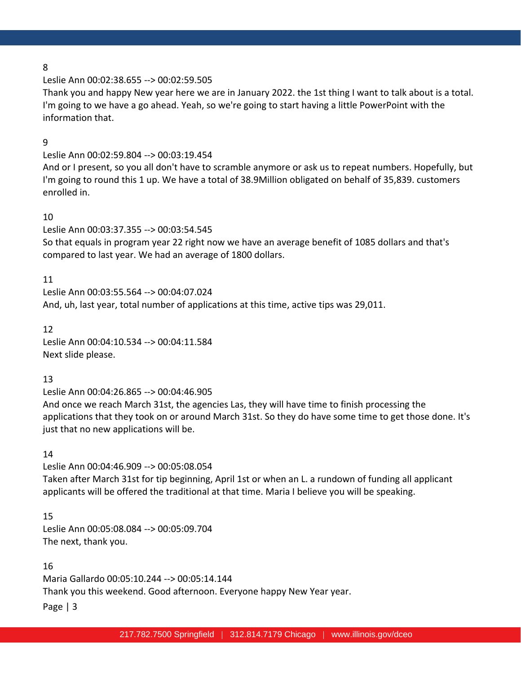Leslie Ann 00:02:38.655 --> 00:02:59.505

Thank you and happy New year here we are in January 2022. the 1st thing I want to talk about is a total. I'm going to we have a go ahead. Yeah, so we're going to start having a little PowerPoint with the information that.

#### 9

Leslie Ann 00:02:59.804 --> 00:03:19.454

And or I present, so you all don't have to scramble anymore or ask us to repeat numbers. Hopefully, but I'm going to round this 1 up. We have a total of 38.9Million obligated on behalf of 35,839. customers enrolled in.

#### 10

Leslie Ann 00:03:37.355 --> 00:03:54.545

So that equals in program year 22 right now we have an average benefit of 1085 dollars and that's compared to last year. We had an average of 1800 dollars.

#### 11

Leslie Ann 00:03:55.564 --> 00:04:07.024 And, uh, last year, total number of applications at this time, active tips was 29,011.

12

Leslie Ann 00:04:10.534 --> 00:04:11.584 Next slide please.

#### 13

Leslie Ann 00:04:26.865 --> 00:04:46.905

And once we reach March 31st, the agencies Las, they will have time to finish processing the applications that they took on or around March 31st. So they do have some time to get those done. It's just that no new applications will be.

#### 14

Leslie Ann 00:04:46.909 --> 00:05:08.054

Taken after March 31st for tip beginning, April 1st or when an L. a rundown of funding all applicant applicants will be offered the traditional at that time. Maria I believe you will be speaking.

15

Leslie Ann 00:05:08.084 --> 00:05:09.704 The next, thank you.

### 16

Maria Gallardo 00:05:10.244 --> 00:05:14.144

Thank you this weekend. Good afternoon. Everyone happy New Year year.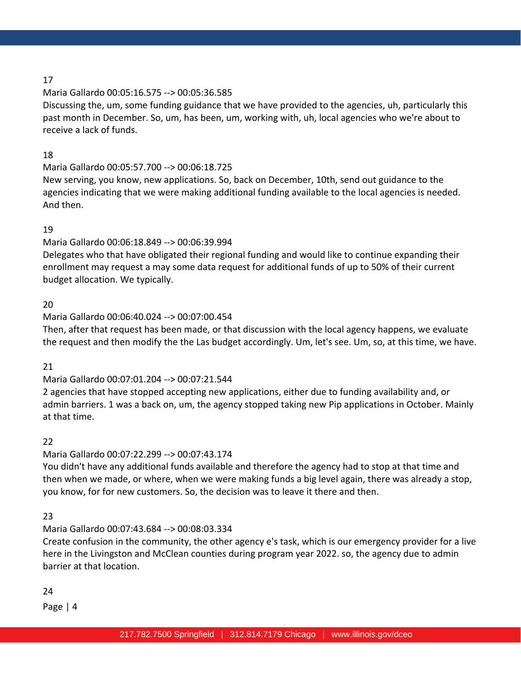### Maria Gallardo 00:05:16.575 --> 00:05:36.585

Discussing the, um, some funding guidance that we have provided to the agencies, uh, particularly this past month in December. So, um, has been, um, working with, uh, local agencies who we're about to receive a lack of funds.

# 18

# Maria Gallardo 00:05:57.700 --> 00:06:18.725

New serving, you know, new applications. So, back on December, 10th, send out guidance to the agencies indicating that we were making additional funding available to the local agencies is needed. And then.

### 19

# Maria Gallardo 00:06:18.849 --> 00:06:39.994

Delegates who that have obligated their regional funding and would like to continue expanding their enrollment may request a may some data request for additional funds of up to 50% of their current budget allocation. We typically.

### 20

# Maria Gallardo 00:06:40.024 --> 00:07:00.454

Then, after that request has been made, or that discussion with the local agency happens, we evaluate the request and then modify the the Las budget accordingly. Um, let's see. Um, so, at this time, we have.

# 21

# Maria Gallardo 00:07:01.204 --> 00:07:21.544

2 agencies that have stopped accepting new applications, either due to funding availability and, or admin barriers. 1 was a back on, um, the agency stopped taking new Pip applications in October. Mainly at that time.

# 22

# Maria Gallardo 00:07:22.299 --> 00:07:43.174

You didn't have any additional funds available and therefore the agency had to stop at that time and then when we made, or where, when we were making funds a big level again, there was already a stop, you know, for for new customers. So, the decision was to leave it there and then.

# 23

# Maria Gallardo 00:07:43.684 --> 00:08:03.334

Create confusion in the community, the other agency e's task, which is our emergency provider for a live here in the Livingston and McClean counties during program year 2022. so, the agency due to admin barrier at that location.

# 24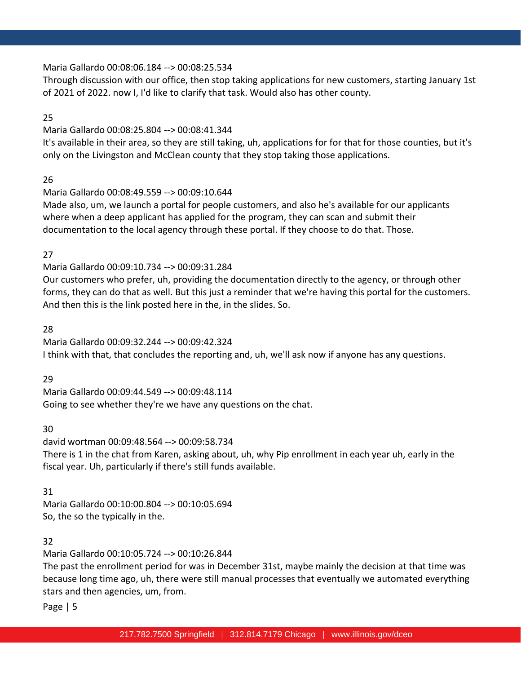### Maria Gallardo 00:08:06.184 --> 00:08:25.534

Through discussion with our office, then stop taking applications for new customers, starting January 1st of 2021 of 2022. now I, I'd like to clarify that task. Would also has other county.

### 25

### Maria Gallardo 00:08:25.804 --> 00:08:41.344

It's available in their area, so they are still taking, uh, applications for for that for those counties, but it's only on the Livingston and McClean county that they stop taking those applications.

# 26

# Maria Gallardo 00:08:49.559 --> 00:09:10.644

Made also, um, we launch a portal for people customers, and also he's available for our applicants where when a deep applicant has applied for the program, they can scan and submit their documentation to the local agency through these portal. If they choose to do that. Those.

# 27

# Maria Gallardo 00:09:10.734 --> 00:09:31.284

Our customers who prefer, uh, providing the documentation directly to the agency, or through other forms, they can do that as well. But this just a reminder that we're having this portal for the customers. And then this is the link posted here in the, in the slides. So.

# 28

Maria Gallardo 00:09:32.244 --> 00:09:42.324 I think with that, that concludes the reporting and, uh, we'll ask now if anyone has any questions.

# 29

Maria Gallardo 00:09:44.549 --> 00:09:48.114 Going to see whether they're we have any questions on the chat.

# 30

david wortman 00:09:48.564 --> 00:09:58.734 There is 1 in the chat from Karen, asking about, uh, why Pip enrollment in each year uh, early in the fiscal year. Uh, particularly if there's still funds available.

# 31

Maria Gallardo 00:10:00.804 --> 00:10:05.694 So, the so the typically in the.

# 32

Maria Gallardo 00:10:05.724 --> 00:10:26.844

The past the enrollment period for was in December 31st, maybe mainly the decision at that time was because long time ago, uh, there were still manual processes that eventually we automated everything stars and then agencies, um, from.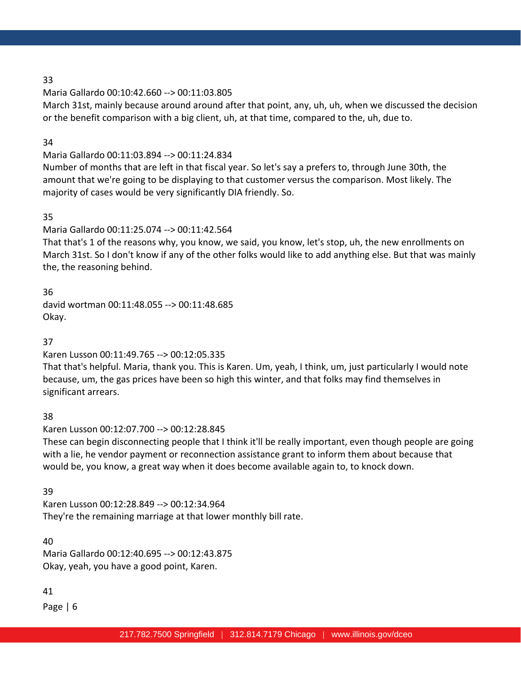### Maria Gallardo 00:10:42.660 --> 00:11:03.805

March 31st, mainly because around around after that point, any, uh, uh, when we discussed the decision or the benefit comparison with a big client, uh, at that time, compared to the, uh, due to.

### 34

# Maria Gallardo 00:11:03.894 --> 00:11:24.834

Number of months that are left in that fiscal year. So let's say a prefers to, through June 30th, the amount that we're going to be displaying to that customer versus the comparison. Most likely. The majority of cases would be very significantly DIA friendly. So.

# 35

Maria Gallardo 00:11:25.074 --> 00:11:42.564

That that's 1 of the reasons why, you know, we said, you know, let's stop, uh, the new enrollments on March 31st. So I don't know if any of the other folks would like to add anything else. But that was mainly the, the reasoning behind.

36 david wortman 00:11:48.055 --> 00:11:48.685 Okay.

# 37

Karen Lusson 00:11:49.765 --> 00:12:05.335

That that's helpful. Maria, thank you. This is Karen. Um, yeah, I think, um, just particularly I would note because, um, the gas prices have been so high this winter, and that folks may find themselves in significant arrears.

# 38

Karen Lusson 00:12:07.700 --> 00:12:28.845

These can begin disconnecting people that I think it'll be really important, even though people are going with a lie, he vendor payment or reconnection assistance grant to inform them about because that would be, you know, a great way when it does become available again to, to knock down.

# 39

Karen Lusson 00:12:28.849 --> 00:12:34.964 They're the remaining marriage at that lower monthly bill rate.

# 40

Maria Gallardo 00:12:40.695 --> 00:12:43.875 Okay, yeah, you have a good point, Karen.

# 41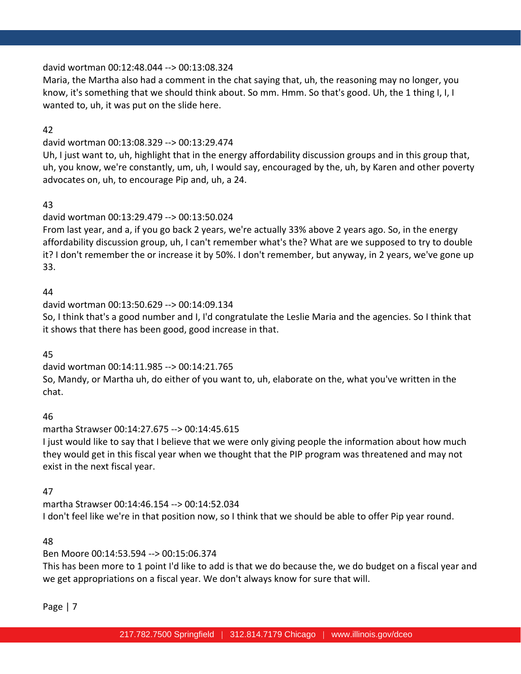#### david wortman 00:12:48.044 --> 00:13:08.324

Maria, the Martha also had a comment in the chat saying that, uh, the reasoning may no longer, you know, it's something that we should think about. So mm. Hmm. So that's good. Uh, the 1 thing I, I, I wanted to, uh, it was put on the slide here.

#### 42

### david wortman 00:13:08.329 --> 00:13:29.474

Uh, I just want to, uh, highlight that in the energy affordability discussion groups and in this group that, uh, you know, we're constantly, um, uh, I would say, encouraged by the, uh, by Karen and other poverty advocates on, uh, to encourage Pip and, uh, a 24.

### 43

# david wortman 00:13:29.479 --> 00:13:50.024

From last year, and a, if you go back 2 years, we're actually 33% above 2 years ago. So, in the energy affordability discussion group, uh, I can't remember what's the? What are we supposed to try to double it? I don't remember the or increase it by 50%. I don't remember, but anyway, in 2 years, we've gone up 33.

### 44

david wortman 00:13:50.629 --> 00:14:09.134

So, I think that's a good number and I, I'd congratulate the Leslie Maria and the agencies. So I think that it shows that there has been good, good increase in that.

#### 45

david wortman 00:14:11.985 --> 00:14:21.765

So, Mandy, or Martha uh, do either of you want to, uh, elaborate on the, what you've written in the chat.

#### 46

martha Strawser 00:14:27.675 --> 00:14:45.615

I just would like to say that I believe that we were only giving people the information about how much they would get in this fiscal year when we thought that the PIP program was threatened and may not exist in the next fiscal year.

# 47

martha Strawser 00:14:46.154 --> 00:14:52.034 I don't feel like we're in that position now, so I think that we should be able to offer Pip year round.

#### 48

# Ben Moore 00:14:53.594 --> 00:15:06.374

This has been more to 1 point I'd like to add is that we do because the, we do budget on a fiscal year and we get appropriations on a fiscal year. We don't always know for sure that will.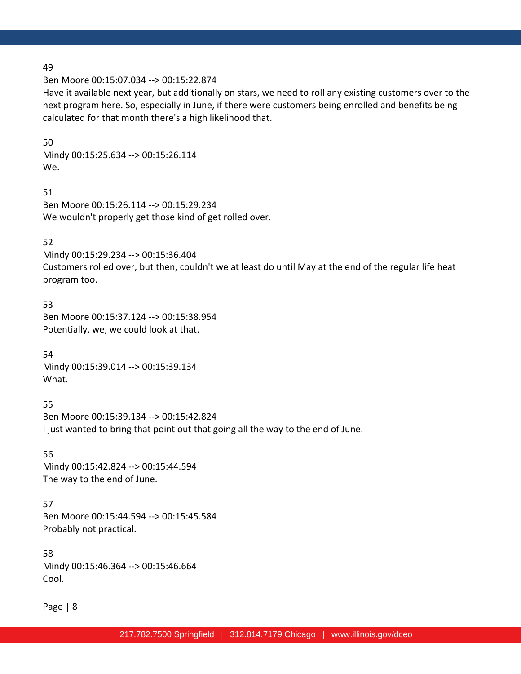Ben Moore 00:15:07.034 --> 00:15:22.874

Have it available next year, but additionally on stars, we need to roll any existing customers over to the next program here. So, especially in June, if there were customers being enrolled and benefits being calculated for that month there's a high likelihood that.

#### 50

Mindy 00:15:25.634 --> 00:15:26.114 We.

#### 51

Ben Moore 00:15:26.114 --> 00:15:29.234 We wouldn't properly get those kind of get rolled over.

#### 52

Mindy 00:15:29.234 --> 00:15:36.404

Customers rolled over, but then, couldn't we at least do until May at the end of the regular life heat program too.

#### 53

Ben Moore 00:15:37.124 --> 00:15:38.954 Potentially, we, we could look at that.

54 Mindy 00:15:39.014 --> 00:15:39.134 What.

55 Ben Moore 00:15:39.134 --> 00:15:42.824 I just wanted to bring that point out that going all the way to the end of June.

56 Mindy 00:15:42.824 --> 00:15:44.594 The way to the end of June.

57 Ben Moore 00:15:44.594 --> 00:15:45.584 Probably not practical.

58 Mindy 00:15:46.364 --> 00:15:46.664 Cool.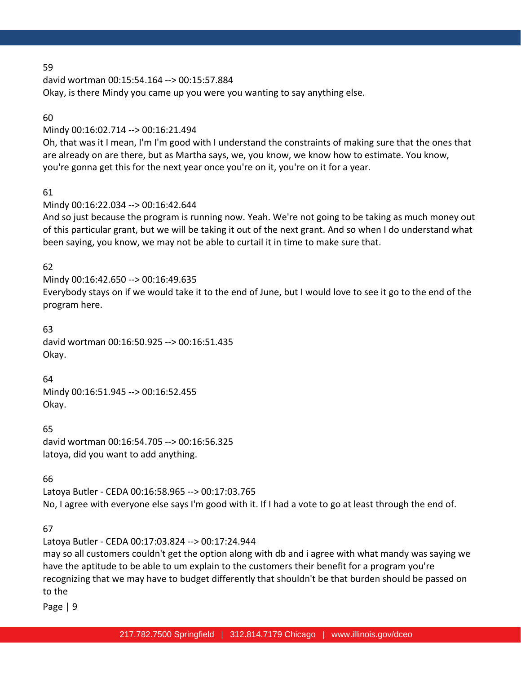david wortman 00:15:54.164 --> 00:15:57.884 Okay, is there Mindy you came up you were you wanting to say anything else.

### 60

Mindy 00:16:02.714 --> 00:16:21.494

Oh, that was it I mean, I'm I'm good with I understand the constraints of making sure that the ones that are already on are there, but as Martha says, we, you know, we know how to estimate. You know, you're gonna get this for the next year once you're on it, you're on it for a year.

# 61

Mindy 00:16:22.034 --> 00:16:42.644

And so just because the program is running now. Yeah. We're not going to be taking as much money out of this particular grant, but we will be taking it out of the next grant. And so when I do understand what been saying, you know, we may not be able to curtail it in time to make sure that.

# 62

# Mindy 00:16:42.650 --> 00:16:49.635

Everybody stays on if we would take it to the end of June, but I would love to see it go to the end of the program here.

#### 63

david wortman 00:16:50.925 --> 00:16:51.435 Okay.

64 Mindy 00:16:51.945 --> 00:16:52.455 Okay.

65 david wortman 00:16:54.705 --> 00:16:56.325 latoya, did you want to add anything.

# 66

Latoya Butler - CEDA 00:16:58.965 --> 00:17:03.765 No, I agree with everyone else says I'm good with it. If I had a vote to go at least through the end of.

# 67

Latoya Butler - CEDA 00:17:03.824 --> 00:17:24.944 may so all customers couldn't get the option along with db and i agree with what mandy was saying we have the aptitude to be able to um explain to the customers their benefit for a program you're recognizing that we may have to budget differently that shouldn't be that burden should be passed on to the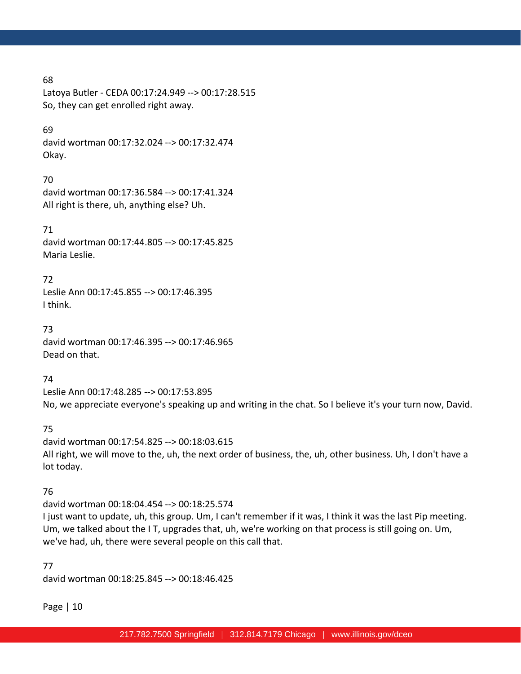Latoya Butler - CEDA 00:17:24.949 --> 00:17:28.515 So, they can get enrolled right away.

#### 69

david wortman 00:17:32.024 --> 00:17:32.474 Okay.

### 70

david wortman 00:17:36.584 --> 00:17:41.324 All right is there, uh, anything else? Uh.

### 71

david wortman 00:17:44.805 --> 00:17:45.825 Maria Leslie.

### 72

Leslie Ann 00:17:45.855 --> 00:17:46.395 I think.

#### 73

david wortman 00:17:46.395 --> 00:17:46.965 Dead on that.

### 74

Leslie Ann 00:17:48.285 --> 00:17:53.895 No, we appreciate everyone's speaking up and writing in the chat. So I believe it's your turn now, David.

# 75

david wortman 00:17:54.825 --> 00:18:03.615 All right, we will move to the, uh, the next order of business, the, uh, other business. Uh, I don't have a lot today.

# 76

david wortman 00:18:04.454 --> 00:18:25.574 I just want to update, uh, this group. Um, I can't remember if it was, I think it was the last Pip meeting. Um, we talked about the I T, upgrades that, uh, we're working on that process is still going on. Um, we've had, uh, there were several people on this call that.

#### 77

david wortman 00:18:25.845 --> 00:18:46.425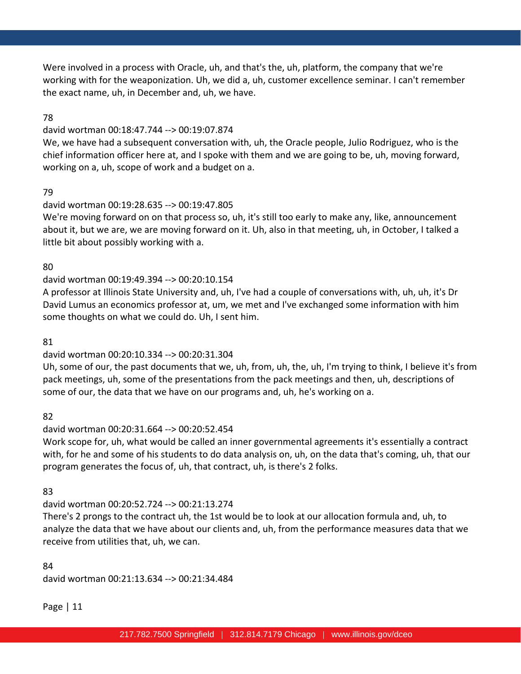Were involved in a process with Oracle, uh, and that's the, uh, platform, the company that we're working with for the weaponization. Uh, we did a, uh, customer excellence seminar. I can't remember the exact name, uh, in December and, uh, we have.

### 78

#### david wortman 00:18:47.744 --> 00:19:07.874

We, we have had a subsequent conversation with, uh, the Oracle people, Julio Rodriguez, who is the chief information officer here at, and I spoke with them and we are going to be, uh, moving forward, working on a, uh, scope of work and a budget on a.

### 79

#### david wortman 00:19:28.635 --> 00:19:47.805

We're moving forward on on that process so, uh, it's still too early to make any, like, announcement about it, but we are, we are moving forward on it. Uh, also in that meeting, uh, in October, I talked a little bit about possibly working with a.

### 80

# david wortman 00:19:49.394 --> 00:20:10.154

A professor at Illinois State University and, uh, I've had a couple of conversations with, uh, uh, it's Dr David Lumus an economics professor at, um, we met and I've exchanged some information with him some thoughts on what we could do. Uh, I sent him.

#### 81

# david wortman 00:20:10.334 --> 00:20:31.304

Uh, some of our, the past documents that we, uh, from, uh, the, uh, I'm trying to think, I believe it's from pack meetings, uh, some of the presentations from the pack meetings and then, uh, descriptions of some of our, the data that we have on our programs and, uh, he's working on a.

82

# david wortman 00:20:31.664 --> 00:20:52.454

Work scope for, uh, what would be called an inner governmental agreements it's essentially a contract with, for he and some of his students to do data analysis on, uh, on the data that's coming, uh, that our program generates the focus of, uh, that contract, uh, is there's 2 folks.

83

# david wortman 00:20:52.724 --> 00:21:13.274

There's 2 prongs to the contract uh, the 1st would be to look at our allocation formula and, uh, to analyze the data that we have about our clients and, uh, from the performance measures data that we receive from utilities that, uh, we can.

#### 84

david wortman 00:21:13.634 --> 00:21:34.484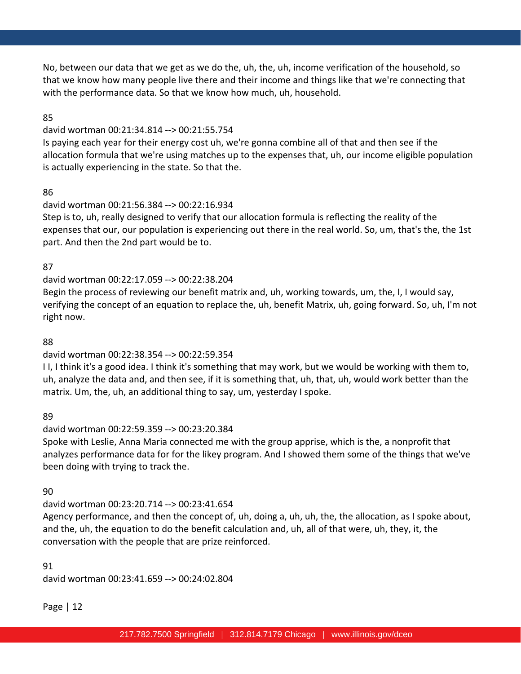No, between our data that we get as we do the, uh, the, uh, income verification of the household, so that we know how many people live there and their income and things like that we're connecting that with the performance data. So that we know how much, uh, household.

### 85

### david wortman 00:21:34.814 --> 00:21:55.754

Is paying each year for their energy cost uh, we're gonna combine all of that and then see if the allocation formula that we're using matches up to the expenses that, uh, our income eligible population is actually experiencing in the state. So that the.

### 86

# david wortman 00:21:56.384 --> 00:22:16.934

Step is to, uh, really designed to verify that our allocation formula is reflecting the reality of the expenses that our, our population is experiencing out there in the real world. So, um, that's the, the 1st part. And then the 2nd part would be to.

# 87

# david wortman 00:22:17.059 --> 00:22:38.204

Begin the process of reviewing our benefit matrix and, uh, working towards, um, the, I, I would say, verifying the concept of an equation to replace the, uh, benefit Matrix, uh, going forward. So, uh, I'm not right now.

### 88

# david wortman 00:22:38.354 --> 00:22:59.354

I I, I think it's a good idea. I think it's something that may work, but we would be working with them to, uh, analyze the data and, and then see, if it is something that, uh, that, uh, would work better than the matrix. Um, the, uh, an additional thing to say, um, yesterday I spoke.

# 89

# david wortman 00:22:59.359 --> 00:23:20.384

Spoke with Leslie, Anna Maria connected me with the group apprise, which is the, a nonprofit that analyzes performance data for for the likey program. And I showed them some of the things that we've been doing with trying to track the.

# 90

# david wortman 00:23:20.714 --> 00:23:41.654

Agency performance, and then the concept of, uh, doing a, uh, uh, the, the allocation, as I spoke about, and the, uh, the equation to do the benefit calculation and, uh, all of that were, uh, they, it, the conversation with the people that are prize reinforced.

### 91 david wortman 00:23:41.659 --> 00:24:02.804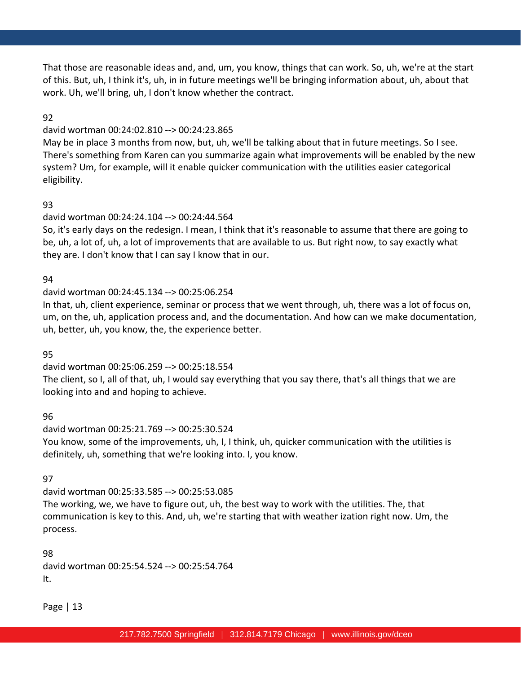That those are reasonable ideas and, and, um, you know, things that can work. So, uh, we're at the start of this. But, uh, I think it's, uh, in in future meetings we'll be bringing information about, uh, about that work. Uh, we'll bring, uh, I don't know whether the contract.

### 92

### david wortman 00:24:02.810 --> 00:24:23.865

May be in place 3 months from now, but, uh, we'll be talking about that in future meetings. So I see. There's something from Karen can you summarize again what improvements will be enabled by the new system? Um, for example, will it enable quicker communication with the utilities easier categorical eligibility.

# 93

# david wortman 00:24:24.104 --> 00:24:44.564

So, it's early days on the redesign. I mean, I think that it's reasonable to assume that there are going to be, uh, a lot of, uh, a lot of improvements that are available to us. But right now, to say exactly what they are. I don't know that I can say I know that in our.

# 94

# david wortman 00:24:45.134 --> 00:25:06.254

In that, uh, client experience, seminar or process that we went through, uh, there was a lot of focus on, um, on the, uh, application process and, and the documentation. And how can we make documentation, uh, better, uh, you know, the, the experience better.

# 95

david wortman 00:25:06.259 --> 00:25:18.554 The client, so I, all of that, uh, I would say everything that you say there, that's all things that we are looking into and and hoping to achieve.

# 96

david wortman 00:25:21.769 --> 00:25:30.524 You know, some of the improvements, uh, I, I think, uh, quicker communication with the utilities is definitely, uh, something that we're looking into. I, you know.

# 97

david wortman 00:25:33.585 --> 00:25:53.085 The working, we, we have to figure out, uh, the best way to work with the utilities. The, that communication is key to this. And, uh, we're starting that with weather ization right now. Um, the process.

98 david wortman 00:25:54.524 --> 00:25:54.764 It.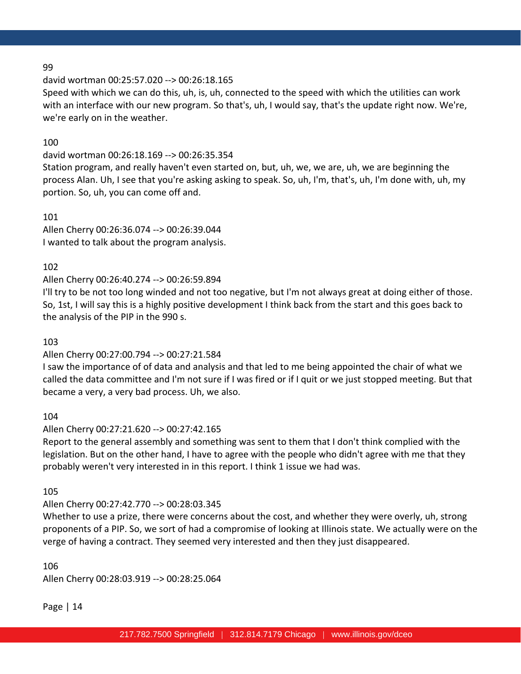### david wortman 00:25:57.020 --> 00:26:18.165

Speed with which we can do this, uh, is, uh, connected to the speed with which the utilities can work with an interface with our new program. So that's, uh, I would say, that's the update right now. We're, we're early on in the weather.

### 100

david wortman 00:26:18.169 --> 00:26:35.354

Station program, and really haven't even started on, but, uh, we, we are, uh, we are beginning the process Alan. Uh, I see that you're asking asking to speak. So, uh, I'm, that's, uh, I'm done with, uh, my portion. So, uh, you can come off and.

101 Allen Cherry 00:26:36.074 --> 00:26:39.044 I wanted to talk about the program analysis.

### 102

### Allen Cherry 00:26:40.274 --> 00:26:59.894

I'll try to be not too long winded and not too negative, but I'm not always great at doing either of those. So, 1st, I will say this is a highly positive development I think back from the start and this goes back to the analysis of the PIP in the 990 s.

#### 103

#### Allen Cherry 00:27:00.794 --> 00:27:21.584

I saw the importance of of data and analysis and that led to me being appointed the chair of what we called the data committee and I'm not sure if I was fired or if I quit or we just stopped meeting. But that became a very, a very bad process. Uh, we also.

104

#### Allen Cherry 00:27:21.620 --> 00:27:42.165

Report to the general assembly and something was sent to them that I don't think complied with the legislation. But on the other hand, I have to agree with the people who didn't agree with me that they probably weren't very interested in in this report. I think 1 issue we had was.

105

### Allen Cherry 00:27:42.770 --> 00:28:03.345

Whether to use a prize, there were concerns about the cost, and whether they were overly, uh, strong proponents of a PIP. So, we sort of had a compromise of looking at Illinois state. We actually were on the verge of having a contract. They seemed very interested and then they just disappeared.

106

Allen Cherry 00:28:03.919 --> 00:28:25.064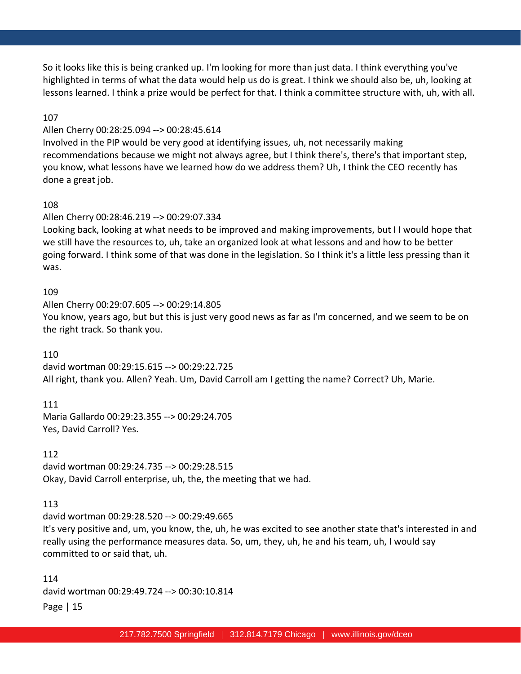So it looks like this is being cranked up. I'm looking for more than just data. I think everything you've highlighted in terms of what the data would help us do is great. I think we should also be, uh, looking at lessons learned. I think a prize would be perfect for that. I think a committee structure with, uh, with all.

### 107

### Allen Cherry 00:28:25.094 --> 00:28:45.614

Involved in the PIP would be very good at identifying issues, uh, not necessarily making recommendations because we might not always agree, but I think there's, there's that important step, you know, what lessons have we learned how do we address them? Uh, I think the CEO recently has done a great job.

### 108

# Allen Cherry 00:28:46.219 --> 00:29:07.334

Looking back, looking at what needs to be improved and making improvements, but I I would hope that we still have the resources to, uh, take an organized look at what lessons and and how to be better going forward. I think some of that was done in the legislation. So I think it's a little less pressing than it was.

#### 109

Allen Cherry 00:29:07.605 --> 00:29:14.805 You know, years ago, but but this is just very good news as far as I'm concerned, and we seem to be on the right track. So thank you.

#### 110

david wortman 00:29:15.615 --> 00:29:22.725 All right, thank you. Allen? Yeah. Um, David Carroll am I getting the name? Correct? Uh, Marie.

#### 111

Maria Gallardo 00:29:23.355 --> 00:29:24.705 Yes, David Carroll? Yes.

#### 112

david wortman 00:29:24.735 --> 00:29:28.515 Okay, David Carroll enterprise, uh, the, the meeting that we had.

#### 113

david wortman 00:29:28.520 --> 00:29:49.665

It's very positive and, um, you know, the, uh, he was excited to see another state that's interested in and really using the performance measures data. So, um, they, uh, he and his team, uh, I would say committed to or said that, uh.

Page | 15 114 david wortman 00:29:49.724 --> 00:30:10.814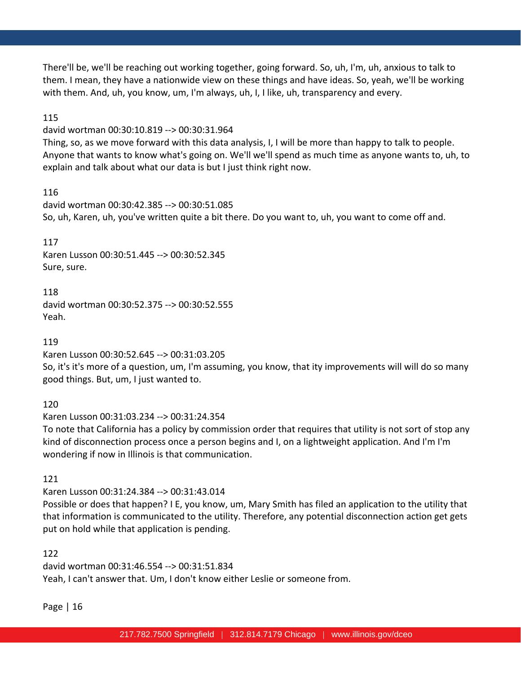There'll be, we'll be reaching out working together, going forward. So, uh, I'm, uh, anxious to talk to them. I mean, they have a nationwide view on these things and have ideas. So, yeah, we'll be working with them. And, uh, you know, um, I'm always, uh, I, I like, uh, transparency and every.

### 115

david wortman 00:30:10.819 --> 00:30:31.964

Thing, so, as we move forward with this data analysis, I, I will be more than happy to talk to people. Anyone that wants to know what's going on. We'll we'll spend as much time as anyone wants to, uh, to explain and talk about what our data is but I just think right now.

# 116

david wortman 00:30:42.385 --> 00:30:51.085 So, uh, Karen, uh, you've written quite a bit there. Do you want to, uh, you want to come off and.

### 117

Karen Lusson 00:30:51.445 --> 00:30:52.345 Sure, sure.

118 david wortman 00:30:52.375 --> 00:30:52.555 Yeah.

119

Karen Lusson 00:30:52.645 --> 00:31:03.205

So, it's it's more of a question, um, I'm assuming, you know, that ity improvements will will do so many good things. But, um, I just wanted to.

120

Karen Lusson 00:31:03.234 --> 00:31:24.354

To note that California has a policy by commission order that requires that utility is not sort of stop any kind of disconnection process once a person begins and I, on a lightweight application. And I'm I'm wondering if now in Illinois is that communication.

121

Karen Lusson 00:31:24.384 --> 00:31:43.014 Possible or does that happen? I E, you know, um, Mary Smith has filed an application to the utility that that information is communicated to the utility. Therefore, any potential disconnection action get gets put on hold while that application is pending.

122

david wortman 00:31:46.554 --> 00:31:51.834 Yeah, I can't answer that. Um, I don't know either Leslie or someone from.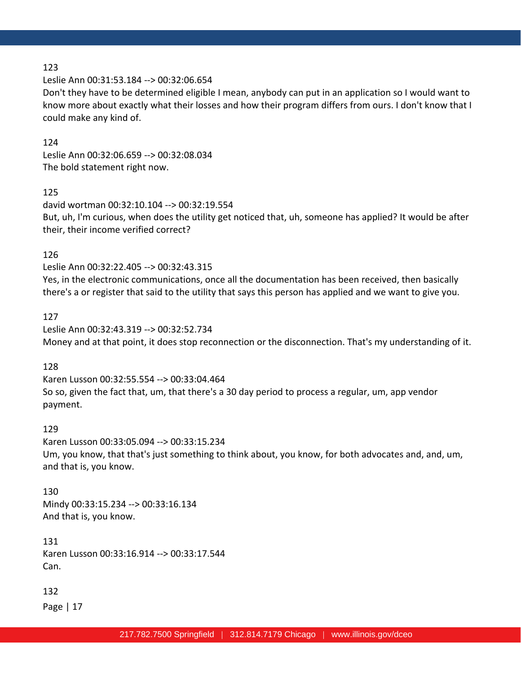Leslie Ann 00:31:53.184 --> 00:32:06.654

Don't they have to be determined eligible I mean, anybody can put in an application so I would want to know more about exactly what their losses and how their program differs from ours. I don't know that I could make any kind of.

#### 124

Leslie Ann 00:32:06.659 --> 00:32:08.034 The bold statement right now.

### 125

david wortman 00:32:10.104 --> 00:32:19.554 But, uh, I'm curious, when does the utility get noticed that, uh, someone has applied? It would be after their, their income verified correct?

#### 126

Leslie Ann 00:32:22.405 --> 00:32:43.315

Yes, in the electronic communications, once all the documentation has been received, then basically there's a or register that said to the utility that says this person has applied and we want to give you.

#### 127

Leslie Ann 00:32:43.319 --> 00:32:52.734 Money and at that point, it does stop reconnection or the disconnection. That's my understanding of it.

### 128

Karen Lusson 00:32:55.554 --> 00:33:04.464 So so, given the fact that, um, that there's a 30 day period to process a regular, um, app vendor payment.

#### 129

Karen Lusson 00:33:05.094 --> 00:33:15.234 Um, you know, that that's just something to think about, you know, for both advocates and, and, um, and that is, you know.

#### 130

Mindy 00:33:15.234 --> 00:33:16.134 And that is, you know.

131 Karen Lusson 00:33:16.914 --> 00:33:17.544 Can.

#### 132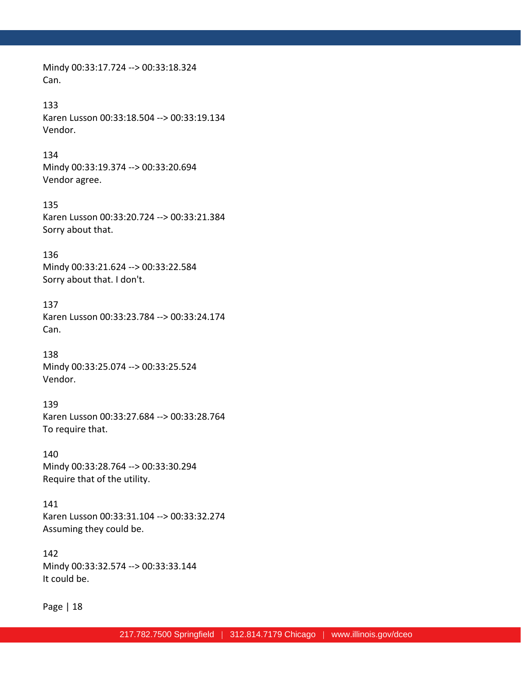Mindy 00:33:17.724 --> 00:33:18.324 Can.

#### 133

Karen Lusson 00:33:18.504 --> 00:33:19.134 Vendor.

#### 134

Mindy 00:33:19.374 --> 00:33:20.694 Vendor agree.

#### 135

Karen Lusson 00:33:20.724 --> 00:33:21.384 Sorry about that.

#### 136

Mindy 00:33:21.624 --> 00:33:22.584 Sorry about that. I don't.

#### 137

Karen Lusson 00:33:23.784 --> 00:33:24.174 Can.

#### 138

Mindy 00:33:25.074 --> 00:33:25.524 Vendor.

#### 139

Karen Lusson 00:33:27.684 --> 00:33:28.764 To require that.

### 140

Mindy 00:33:28.764 --> 00:33:30.294 Require that of the utility.

#### 141

Karen Lusson 00:33:31.104 --> 00:33:32.274 Assuming they could be.

#### 142

Mindy 00:33:32.574 --> 00:33:33.144 It could be.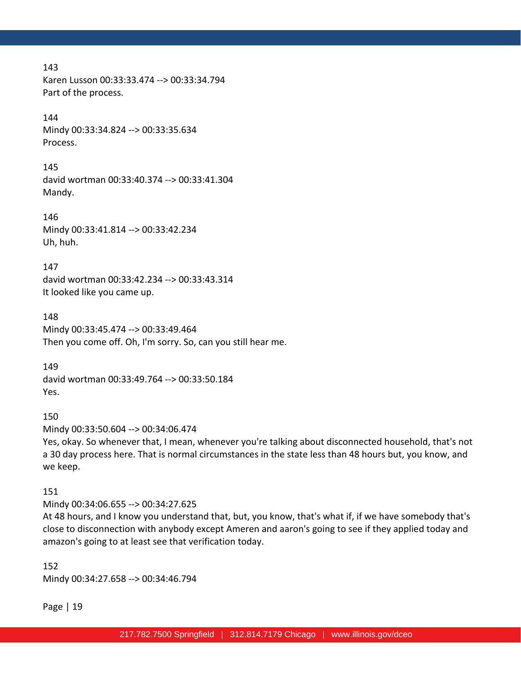Karen Lusson 00:33:33.474 --> 00:33:34.794 Part of the process.

#### 144

Mindy 00:33:34.824 --> 00:33:35.634 Process.

#### 145

david wortman 00:33:40.374 --> 00:33:41.304 Mandy.

146 Mindy 00:33:41.814 --> 00:33:42.234 Uh, huh.

147 david wortman 00:33:42.234 --> 00:33:43.314 It looked like you came up.

148 Mindy 00:33:45.474 --> 00:33:49.464 Then you come off. Oh, I'm sorry. So, can you still hear me.

149 david wortman 00:33:49.764 --> 00:33:50.184 Yes.

#### 150

Mindy 00:33:50.604 --> 00:34:06.474

Yes, okay. So whenever that, I mean, whenever you're talking about disconnected household, that's not a 30 day process here. That is normal circumstances in the state less than 48 hours but, you know, and we keep.

#### 151

Mindy 00:34:06.655 --> 00:34:27.625 At 48 hours, and I know you understand that, but, you know, that's what if, if we have somebody that's close to disconnection with anybody except Ameren and aaron's going to see if they applied today and amazon's going to at least see that verification today.

152 Mindy 00:34:27.658 --> 00:34:46.794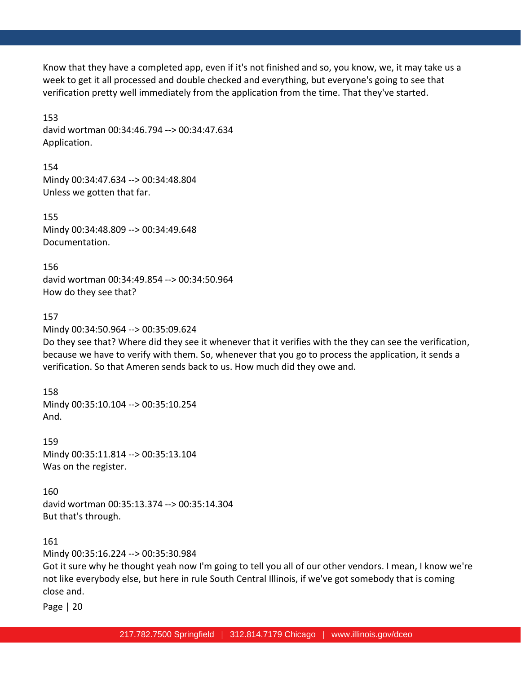Know that they have a completed app, even if it's not finished and so, you know, we, it may take us a week to get it all processed and double checked and everything, but everyone's going to see that verification pretty well immediately from the application from the time. That they've started.

153 david wortman 00:34:46.794 --> 00:34:47.634 Application.

154 Mindy 00:34:47.634 --> 00:34:48.804 Unless we gotten that far.

155 Mindy 00:34:48.809 --> 00:34:49.648 Documentation.

156 david wortman 00:34:49.854 --> 00:34:50.964 How do they see that?

### 157

Mindy 00:34:50.964 --> 00:35:09.624

Do they see that? Where did they see it whenever that it verifies with the they can see the verification, because we have to verify with them. So, whenever that you go to process the application, it sends a verification. So that Ameren sends back to us. How much did they owe and.

158 Mindy 00:35:10.104 --> 00:35:10.254 And.

159 Mindy 00:35:11.814 --> 00:35:13.104 Was on the register.

160 david wortman 00:35:13.374 --> 00:35:14.304 But that's through.

161

Mindy 00:35:16.224 --> 00:35:30.984

Got it sure why he thought yeah now I'm going to tell you all of our other vendors. I mean, I know we're not like everybody else, but here in rule South Central Illinois, if we've got somebody that is coming close and.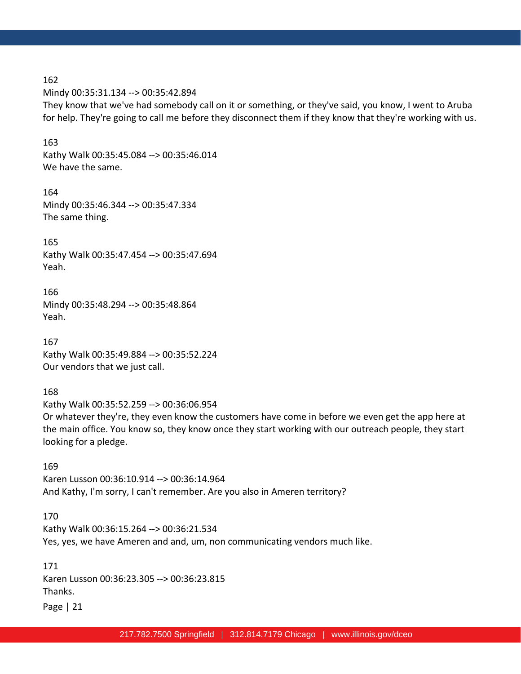Mindy 00:35:31.134 --> 00:35:42.894 They know that we've had somebody call on it or something, or they've said, you know, I went to Aruba for help. They're going to call me before they disconnect them if they know that they're working with us.

163 Kathy Walk 00:35:45.084 --> 00:35:46.014 We have the same.

164 Mindy 00:35:46.344 --> 00:35:47.334 The same thing.

165 Kathy Walk 00:35:47.454 --> 00:35:47.694 Yeah.

166 Mindy 00:35:48.294 --> 00:35:48.864 Yeah.

167 Kathy Walk 00:35:49.884 --> 00:35:52.224 Our vendors that we just call.

168 Kathy Walk 00:35:52.259 --> 00:36:06.954 Or whatever they're, they even know the customers have come in before we even get the app here at the main office. You know so, they know once they start working with our outreach people, they start looking for a pledge.

169 Karen Lusson 00:36:10.914 --> 00:36:14.964 And Kathy, I'm sorry, I can't remember. Are you also in Ameren territory?

#### 170

Kathy Walk 00:36:15.264 --> 00:36:21.534 Yes, yes, we have Ameren and and, um, non communicating vendors much like.

171 Karen Lusson 00:36:23.305 --> 00:36:23.815 Thanks.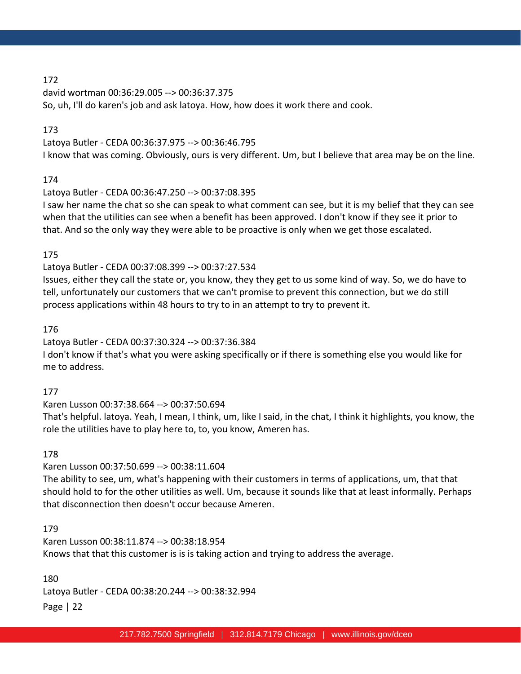david wortman 00:36:29.005 --> 00:36:37.375 So, uh, I'll do karen's job and ask latoya. How, how does it work there and cook.

#### 173

Latoya Butler - CEDA 00:36:37.975 --> 00:36:46.795 I know that was coming. Obviously, ours is very different. Um, but I believe that area may be on the line.

### 174

Latoya Butler - CEDA 00:36:47.250 --> 00:37:08.395

I saw her name the chat so she can speak to what comment can see, but it is my belief that they can see when that the utilities can see when a benefit has been approved. I don't know if they see it prior to that. And so the only way they were able to be proactive is only when we get those escalated.

# 175

Latoya Butler - CEDA 00:37:08.399 --> 00:37:27.534

Issues, either they call the state or, you know, they they get to us some kind of way. So, we do have to tell, unfortunately our customers that we can't promise to prevent this connection, but we do still process applications within 48 hours to try to in an attempt to try to prevent it.

### 176

Latoya Butler - CEDA 00:37:30.324 --> 00:37:36.384 I don't know if that's what you were asking specifically or if there is something else you would like for me to address.

# 177

Karen Lusson 00:37:38.664 --> 00:37:50.694

That's helpful. latoya. Yeah, I mean, I think, um, like I said, in the chat, I think it highlights, you know, the role the utilities have to play here to, to, you know, Ameren has.

# 178

Karen Lusson 00:37:50.699 --> 00:38:11.604

The ability to see, um, what's happening with their customers in terms of applications, um, that that should hold to for the other utilities as well. Um, because it sounds like that at least informally. Perhaps that disconnection then doesn't occur because Ameren.

#### 179

Karen Lusson 00:38:11.874 --> 00:38:18.954 Knows that that this customer is is is taking action and trying to address the average.

Page | 22 180 Latoya Butler - CEDA 00:38:20.244 --> 00:38:32.994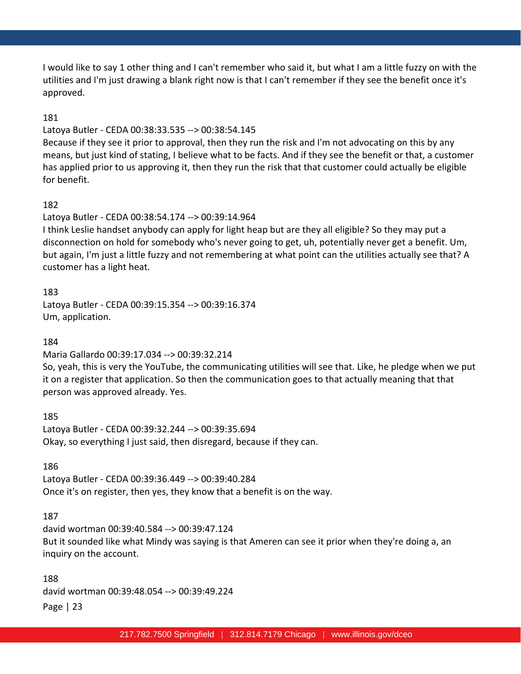I would like to say 1 other thing and I can't remember who said it, but what I am a little fuzzy on with the utilities and I'm just drawing a blank right now is that I can't remember if they see the benefit once it's approved.

### 181

#### Latoya Butler - CEDA 00:38:33.535 --> 00:38:54.145

Because if they see it prior to approval, then they run the risk and I'm not advocating on this by any means, but just kind of stating, I believe what to be facts. And if they see the benefit or that, a customer has applied prior to us approving it, then they run the risk that that customer could actually be eligible for benefit.

# 182

# Latoya Butler - CEDA 00:38:54.174 --> 00:39:14.964

I think Leslie handset anybody can apply for light heap but are they all eligible? So they may put a disconnection on hold for somebody who's never going to get, uh, potentially never get a benefit. Um, but again, I'm just a little fuzzy and not remembering at what point can the utilities actually see that? A customer has a light heat.

### 183

Latoya Butler - CEDA 00:39:15.354 --> 00:39:16.374 Um, application.

#### 184

Maria Gallardo 00:39:17.034 --> 00:39:32.214

So, yeah, this is very the YouTube, the communicating utilities will see that. Like, he pledge when we put it on a register that application. So then the communication goes to that actually meaning that that person was approved already. Yes.

185 Latoya Butler - CEDA 00:39:32.244 --> 00:39:35.694 Okay, so everything I just said, then disregard, because if they can.

#### 186

Latoya Butler - CEDA 00:39:36.449 --> 00:39:40.284 Once it's on register, then yes, they know that a benefit is on the way.

# 187

david wortman 00:39:40.584 --> 00:39:47.124 But it sounded like what Mindy was saying is that Ameren can see it prior when they're doing a, an inquiry on the account.

### 188

david wortman 00:39:48.054 --> 00:39:49.224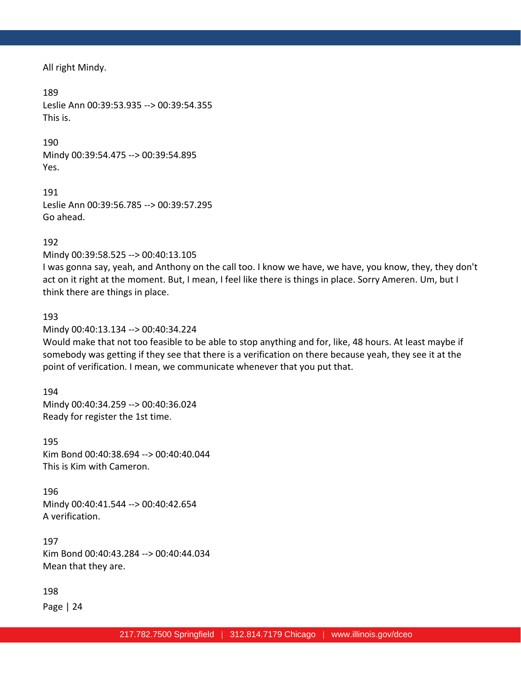All right Mindy.

189 Leslie Ann 00:39:53.935 --> 00:39:54.355 This is.

190 Mindy 00:39:54.475 --> 00:39:54.895 Yes.

191 Leslie Ann 00:39:56.785 --> 00:39:57.295 Go ahead.

192

Mindy 00:39:58.525 --> 00:40:13.105

I was gonna say, yeah, and Anthony on the call too. I know we have, we have, you know, they, they don't act on it right at the moment. But, I mean, I feel like there is things in place. Sorry Ameren. Um, but I think there are things in place.

#### 193

Mindy 00:40:13.134 --> 00:40:34.224

Would make that not too feasible to be able to stop anything and for, like, 48 hours. At least maybe if somebody was getting if they see that there is a verification on there because yeah, they see it at the point of verification. I mean, we communicate whenever that you put that.

194 Mindy 00:40:34.259 --> 00:40:36.024 Ready for register the 1st time.

195 Kim Bond 00:40:38.694 --> 00:40:40.044 This is Kim with Cameron.

196 Mindy 00:40:41.544 --> 00:40:42.654 A verification.

197 Kim Bond 00:40:43.284 --> 00:40:44.034 Mean that they are.

198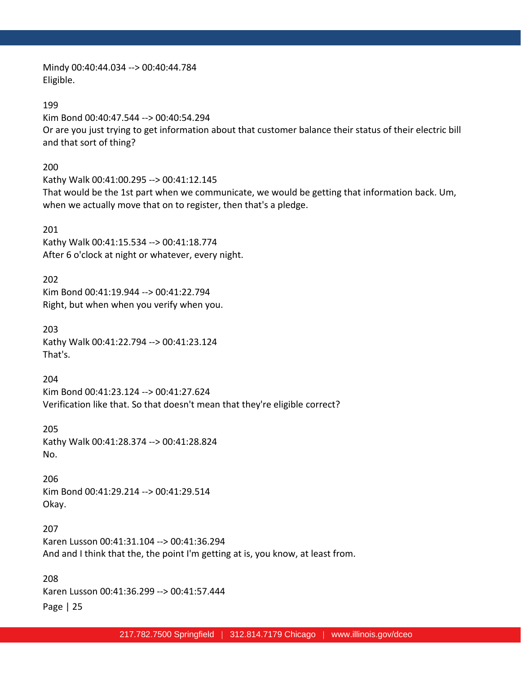Mindy 00:40:44.034 --> 00:40:44.784 Eligible.

199 Kim Bond 00:40:47.544 --> 00:40:54.294 Or are you just trying to get information about that customer balance their status of their electric bill and that sort of thing?

200 Kathy Walk 00:41:00.295 --> 00:41:12.145 That would be the 1st part when we communicate, we would be getting that information back. Um, when we actually move that on to register, then that's a pledge.

201 Kathy Walk 00:41:15.534 --> 00:41:18.774 After 6 o'clock at night or whatever, every night.

202 Kim Bond 00:41:19.944 --> 00:41:22.794 Right, but when when you verify when you.

203 Kathy Walk 00:41:22.794 --> 00:41:23.124 That's.

204 Kim Bond 00:41:23.124 --> 00:41:27.624 Verification like that. So that doesn't mean that they're eligible correct?

205 Kathy Walk 00:41:28.374 --> 00:41:28.824 No.

206 Kim Bond 00:41:29.214 --> 00:41:29.514 Okay.

207 Karen Lusson 00:41:31.104 --> 00:41:36.294 And and I think that the, the point I'm getting at is, you know, at least from.

Page | 25 208 Karen Lusson 00:41:36.299 --> 00:41:57.444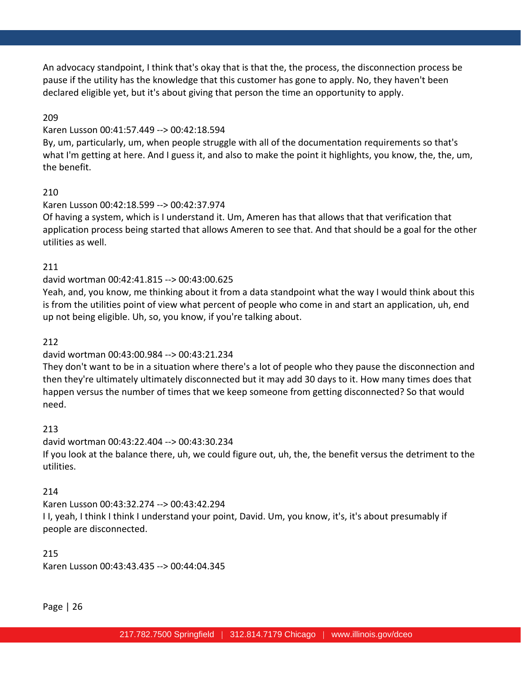An advocacy standpoint, I think that's okay that is that the, the process, the disconnection process be pause if the utility has the knowledge that this customer has gone to apply. No, they haven't been declared eligible yet, but it's about giving that person the time an opportunity to apply.

# 209

#### Karen Lusson 00:41:57.449 --> 00:42:18.594

By, um, particularly, um, when people struggle with all of the documentation requirements so that's what I'm getting at here. And I guess it, and also to make the point it highlights, you know, the, the, um, the benefit.

#### 210

#### Karen Lusson 00:42:18.599 --> 00:42:37.974

Of having a system, which is I understand it. Um, Ameren has that allows that that verification that application process being started that allows Ameren to see that. And that should be a goal for the other utilities as well.

#### 211

### david wortman 00:42:41.815 --> 00:43:00.625

Yeah, and, you know, me thinking about it from a data standpoint what the way I would think about this is from the utilities point of view what percent of people who come in and start an application, uh, end up not being eligible. Uh, so, you know, if you're talking about.

#### 212

# david wortman 00:43:00.984 --> 00:43:21.234

They don't want to be in a situation where there's a lot of people who they pause the disconnection and then they're ultimately ultimately disconnected but it may add 30 days to it. How many times does that happen versus the number of times that we keep someone from getting disconnected? So that would need.

#### 213

david wortman 00:43:22.404 --> 00:43:30.234 If you look at the balance there, uh, we could figure out, uh, the, the benefit versus the detriment to the utilities.

#### 214

Karen Lusson 00:43:32.274 --> 00:43:42.294 I I, yeah, I think I think I understand your point, David. Um, you know, it's, it's about presumably if people are disconnected.

215 Karen Lusson 00:43:43.435 --> 00:44:04.345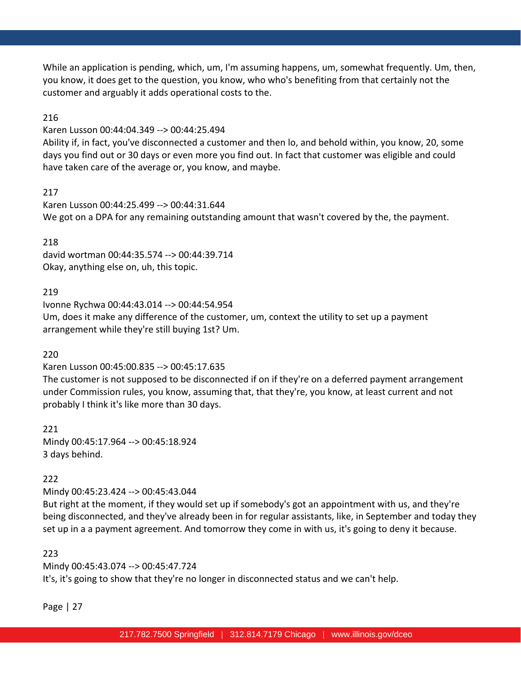While an application is pending, which, um, I'm assuming happens, um, somewhat frequently. Um, then, you know, it does get to the question, you know, who who's benefiting from that certainly not the customer and arguably it adds operational costs to the.

### 216

Karen Lusson 00:44:04.349 --> 00:44:25.494

Ability if, in fact, you've disconnected a customer and then lo, and behold within, you know, 20, some days you find out or 30 days or even more you find out. In fact that customer was eligible and could have taken care of the average or, you know, and maybe.

### 217

Karen Lusson 00:44:25.499 --> 00:44:31.644 We got on a DPA for any remaining outstanding amount that wasn't covered by the, the payment.

### 218

david wortman 00:44:35.574 --> 00:44:39.714 Okay, anything else on, uh, this topic.

### 219

Ivonne Rychwa 00:44:43.014 --> 00:44:54.954 Um, does it make any difference of the customer, um, context the utility to set up a payment arrangement while they're still buying 1st? Um.

# 220

Karen Lusson 00:45:00.835 --> 00:45:17.635

The customer is not supposed to be disconnected if on if they're on a deferred payment arrangement under Commission rules, you know, assuming that, that they're, you know, at least current and not probably I think it's like more than 30 days.

221 Mindy 00:45:17.964 --> 00:45:18.924 3 days behind.

# 222

Mindy 00:45:23.424 --> 00:45:43.044

But right at the moment, if they would set up if somebody's got an appointment with us, and they're being disconnected, and they've already been in for regular assistants, like, in September and today they set up in a a payment agreement. And tomorrow they come in with us, it's going to deny it because.

#### 223

Mindy 00:45:43.074 --> 00:45:47.724 It's, it's going to show that they're no longer in disconnected status and we can't help.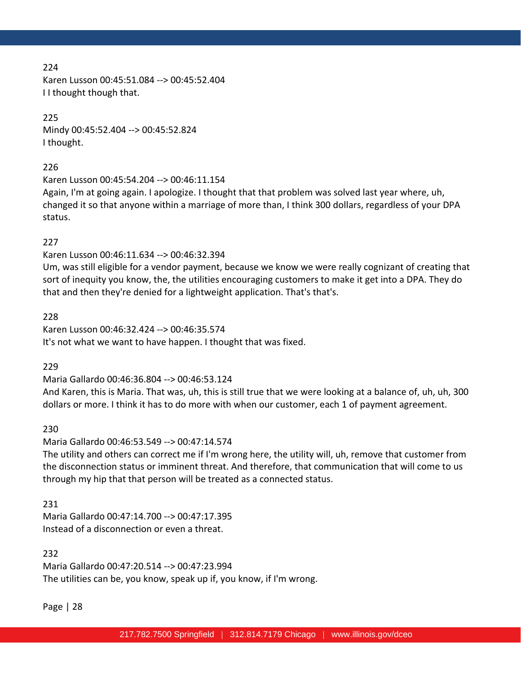Karen Lusson 00:45:51.084 --> 00:45:52.404 I I thought though that.

### 225

Mindy 00:45:52.404 --> 00:45:52.824 I thought.

#### 226

Karen Lusson 00:45:54.204 --> 00:46:11.154

Again, I'm at going again. I apologize. I thought that that problem was solved last year where, uh, changed it so that anyone within a marriage of more than, I think 300 dollars, regardless of your DPA status.

### 227

Karen Lusson 00:46:11.634 --> 00:46:32.394

Um, was still eligible for a vendor payment, because we know we were really cognizant of creating that sort of inequity you know, the, the utilities encouraging customers to make it get into a DPA. They do that and then they're denied for a lightweight application. That's that's.

### 228

Karen Lusson 00:46:32.424 --> 00:46:35.574 It's not what we want to have happen. I thought that was fixed.

# 229

Maria Gallardo 00:46:36.804 --> 00:46:53.124

And Karen, this is Maria. That was, uh, this is still true that we were looking at a balance of, uh, uh, 300 dollars or more. I think it has to do more with when our customer, each 1 of payment agreement.

# 230

Maria Gallardo 00:46:53.549 --> 00:47:14.574

The utility and others can correct me if I'm wrong here, the utility will, uh, remove that customer from the disconnection status or imminent threat. And therefore, that communication that will come to us through my hip that that person will be treated as a connected status.

#### 231

Maria Gallardo 00:47:14.700 --> 00:47:17.395 Instead of a disconnection or even a threat.

#### 232

Maria Gallardo 00:47:20.514 --> 00:47:23.994 The utilities can be, you know, speak up if, you know, if I'm wrong.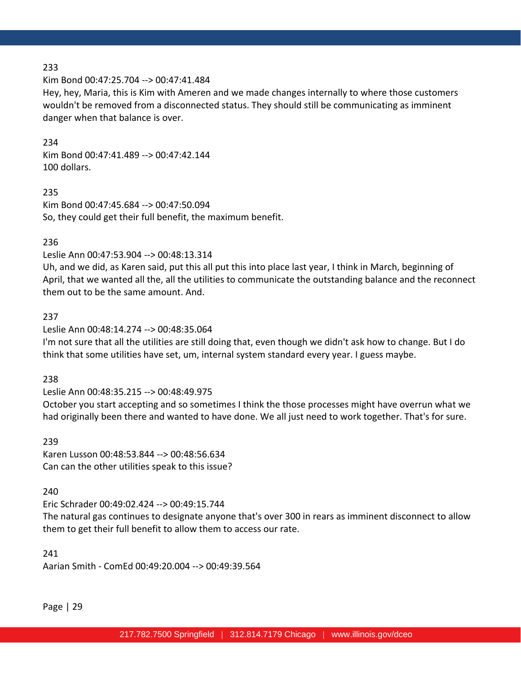Kim Bond 00:47:25.704 --> 00:47:41.484

Hey, hey, Maria, this is Kim with Ameren and we made changes internally to where those customers wouldn't be removed from a disconnected status. They should still be communicating as imminent danger when that balance is over.

### 234

Kim Bond 00:47:41.489 --> 00:47:42.144 100 dollars.

235 Kim Bond 00:47:45.684 --> 00:47:50.094 So, they could get their full benefit, the maximum benefit.

# 236

Leslie Ann 00:47:53.904 --> 00:48:13.314

Uh, and we did, as Karen said, put this all put this into place last year, I think in March, beginning of April, that we wanted all the, all the utilities to communicate the outstanding balance and the reconnect them out to be the same amount. And.

### 237

### Leslie Ann 00:48:14.274 --> 00:48:35.064

I'm not sure that all the utilities are still doing that, even though we didn't ask how to change. But I do think that some utilities have set, um, internal system standard every year. I guess maybe.

#### 238

# Leslie Ann 00:48:35.215 --> 00:48:49.975

October you start accepting and so sometimes I think the those processes might have overrun what we had originally been there and wanted to have done. We all just need to work together. That's for sure.

#### 239

Karen Lusson 00:48:53.844 --> 00:48:56.634 Can can the other utilities speak to this issue?

#### 240

Eric Schrader 00:49:02.424 --> 00:49:15.744 The natural gas continues to designate anyone that's over 300 in rears as imminent disconnect to allow them to get their full benefit to allow them to access our rate.

### 241

Aarian Smith - ComEd 00:49:20.004 --> 00:49:39.564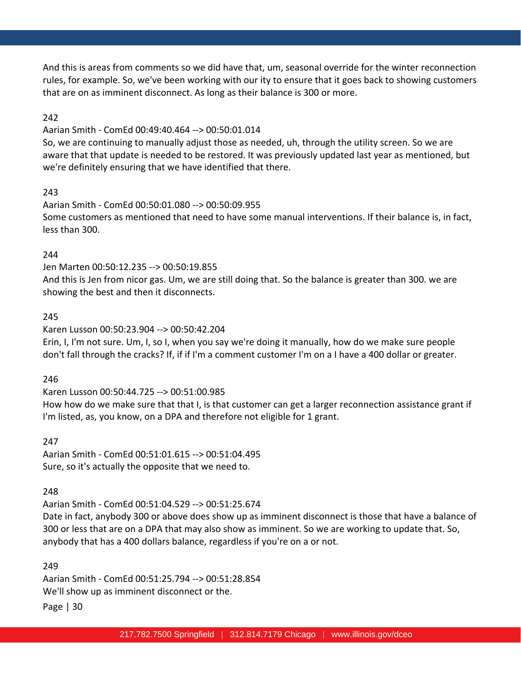And this is areas from comments so we did have that, um, seasonal override for the winter reconnection rules, for example. So, we've been working with our ity to ensure that it goes back to showing customers that are on as imminent disconnect. As long as their balance is 300 or more.

### 242

#### Aarian Smith - ComEd 00:49:40.464 --> 00:50:01.014

So, we are continuing to manually adjust those as needed, uh, through the utility screen. So we are aware that that update is needed to be restored. It was previously updated last year as mentioned, but we're definitely ensuring that we have identified that there.

#### 243

Aarian Smith - ComEd 00:50:01.080 --> 00:50:09.955 Some customers as mentioned that need to have some manual interventions. If their balance is, in fact, less than 300.

#### 244

Jen Marten 00:50:12.235 --> 00:50:19.855 And this is Jen from nicor gas. Um, we are still doing that. So the balance is greater than 300. we are showing the best and then it disconnects.

#### 245

Karen Lusson 00:50:23.904 --> 00:50:42.204

Erin, I, I'm not sure. Um, I, so I, when you say we're doing it manually, how do we make sure people don't fall through the cracks? If, if if I'm a comment customer I'm on a I have a 400 dollar or greater.

#### 246

Karen Lusson 00:50:44.725 --> 00:51:00.985 How how do we make sure that that I, is that customer can get a larger reconnection assistance grant if I'm listed, as, you know, on a DPA and therefore not eligible for 1 grant.

#### 247

Aarian Smith - ComEd 00:51:01.615 --> 00:51:04.495 Sure, so it's actually the opposite that we need to.

#### 248

Aarian Smith - ComEd 00:51:04.529 --> 00:51:25.674

Date in fact, anybody 300 or above does show up as imminent disconnect is those that have a balance of 300 or less that are on a DPA that may also show as imminent. So we are working to update that. So, anybody that has a 400 dollars balance, regardless if you're on a or not.

#### 249

Aarian Smith - ComEd 00:51:25.794 --> 00:51:28.854 We'll show up as imminent disconnect or the.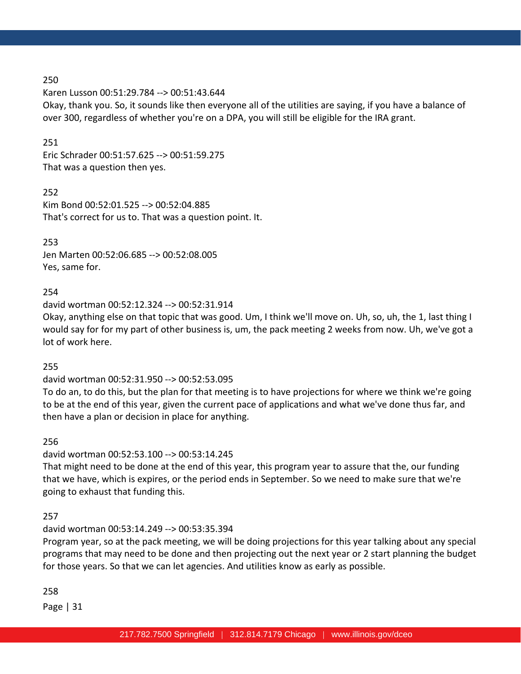Karen Lusson 00:51:29.784 --> 00:51:43.644 Okay, thank you. So, it sounds like then everyone all of the utilities are saying, if you have a balance of over 300, regardless of whether you're on a DPA, you will still be eligible for the IRA grant.

### 251

Eric Schrader 00:51:57.625 --> 00:51:59.275 That was a question then yes.

252 Kim Bond 00:52:01.525 --> 00:52:04.885 That's correct for us to. That was a question point. It.

253 Jen Marten 00:52:06.685 --> 00:52:08.005 Yes, same for.

### 254

david wortman 00:52:12.324 --> 00:52:31.914

Okay, anything else on that topic that was good. Um, I think we'll move on. Uh, so, uh, the 1, last thing I would say for for my part of other business is, um, the pack meeting 2 weeks from now. Uh, we've got a lot of work here.

### 255

david wortman 00:52:31.950 --> 00:52:53.095

To do an, to do this, but the plan for that meeting is to have projections for where we think we're going to be at the end of this year, given the current pace of applications and what we've done thus far, and then have a plan or decision in place for anything.

256

david wortman 00:52:53.100 --> 00:53:14.245

That might need to be done at the end of this year, this program year to assure that the, our funding that we have, which is expires, or the period ends in September. So we need to make sure that we're going to exhaust that funding this.

#### 257

david wortman 00:53:14.249 --> 00:53:35.394

Program year, so at the pack meeting, we will be doing projections for this year talking about any special programs that may need to be done and then projecting out the next year or 2 start planning the budget for those years. So that we can let agencies. And utilities know as early as possible.

#### 258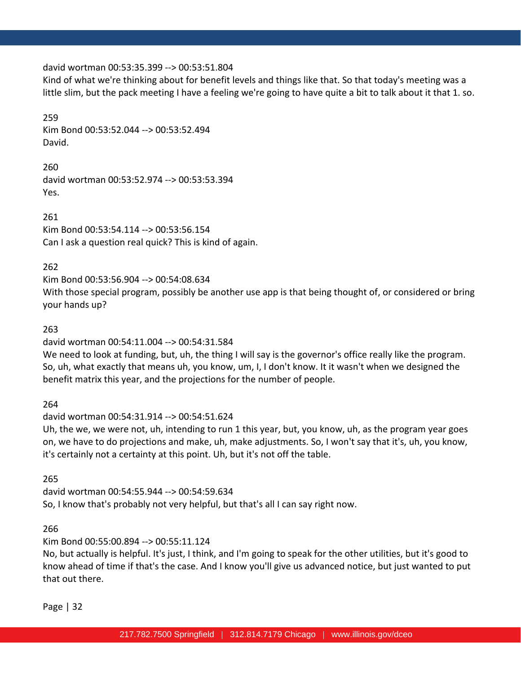#### david wortman 00:53:35.399 --> 00:53:51.804

Kind of what we're thinking about for benefit levels and things like that. So that today's meeting was a little slim, but the pack meeting I have a feeling we're going to have quite a bit to talk about it that 1. so.

#### 259

Kim Bond 00:53:52.044 --> 00:53:52.494 David.

260 david wortman 00:53:52.974 --> 00:53:53.394 Yes.

261 Kim Bond 00:53:54.114 --> 00:53:56.154 Can I ask a question real quick? This is kind of again.

262

Kim Bond 00:53:56.904 --> 00:54:08.634

With those special program, possibly be another use app is that being thought of, or considered or bring your hands up?

#### 263

david wortman 00:54:11.004 --> 00:54:31.584

We need to look at funding, but, uh, the thing I will say is the governor's office really like the program. So, uh, what exactly that means uh, you know, um, I, I don't know. It it wasn't when we designed the benefit matrix this year, and the projections for the number of people.

264

david wortman 00:54:31.914 --> 00:54:51.624

Uh, the we, we were not, uh, intending to run 1 this year, but, you know, uh, as the program year goes on, we have to do projections and make, uh, make adjustments. So, I won't say that it's, uh, you know, it's certainly not a certainty at this point. Uh, but it's not off the table.

265

david wortman 00:54:55.944 --> 00:54:59.634 So, I know that's probably not very helpful, but that's all I can say right now.

266

Kim Bond 00:55:00.894 --> 00:55:11.124

No, but actually is helpful. It's just, I think, and I'm going to speak for the other utilities, but it's good to know ahead of time if that's the case. And I know you'll give us advanced notice, but just wanted to put that out there.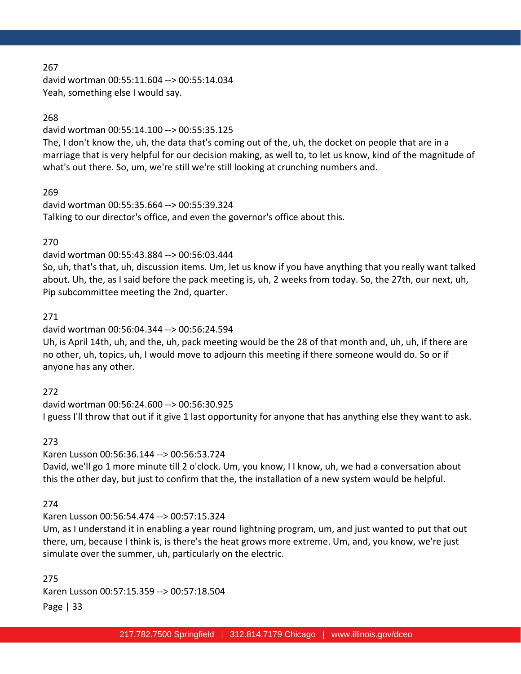david wortman 00:55:11.604 --> 00:55:14.034 Yeah, something else I would say.

### 268

david wortman 00:55:14.100 --> 00:55:35.125

The, I don't know the, uh, the data that's coming out of the, uh, the docket on people that are in a marriage that is very helpful for our decision making, as well to, to let us know, kind of the magnitude of what's out there. So, um, we're still we're still looking at crunching numbers and.

### 269

david wortman 00:55:35.664 --> 00:55:39.324 Talking to our director's office, and even the governor's office about this.

### 270

### david wortman 00:55:43.884 --> 00:56:03.444

So, uh, that's that, uh, discussion items. Um, let us know if you have anything that you really want talked about. Uh, the, as I said before the pack meeting is, uh, 2 weeks from today. So, the 27th, our next, uh, Pip subcommittee meeting the 2nd, quarter.

#### 271

### david wortman 00:56:04.344 --> 00:56:24.594

Uh, is April 14th, uh, and the, uh, pack meeting would be the 28 of that month and, uh, uh, if there are no other, uh, topics, uh, I would move to adjourn this meeting if there someone would do. So or if anyone has any other.

#### 272

david wortman 00:56:24.600 --> 00:56:30.925 I guess I'll throw that out if it give 1 last opportunity for anyone that has anything else they want to ask.

#### 273

#### Karen Lusson 00:56:36.144 --> 00:56:53.724

David, we'll go 1 more minute till 2 o'clock. Um, you know, I I know, uh, we had a conversation about this the other day, but just to confirm that the, the installation of a new system would be helpful.

#### 274

#### Karen Lusson 00:56:54.474 --> 00:57:15.324

Um, as I understand it in enabling a year round lightning program, um, and just wanted to put that out there, um, because I think is, is there's the heat grows more extreme. Um, and, you know, we're just simulate over the summer, uh, particularly on the electric.

Page | 33 275 Karen Lusson 00:57:15.359 --> 00:57:18.504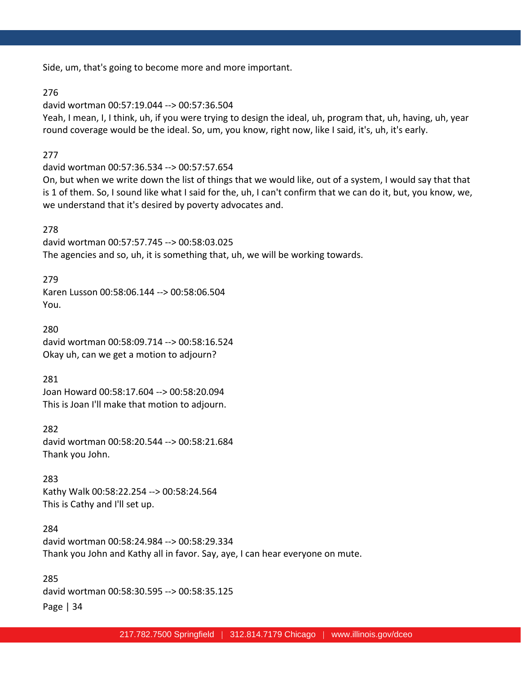Side, um, that's going to become more and more important.

#### 276

david wortman 00:57:19.044 --> 00:57:36.504

Yeah, I mean, I, I think, uh, if you were trying to design the ideal, uh, program that, uh, having, uh, year round coverage would be the ideal. So, um, you know, right now, like I said, it's, uh, it's early.

### 277

david wortman 00:57:36.534 --> 00:57:57.654

On, but when we write down the list of things that we would like, out of a system, I would say that that is 1 of them. So, I sound like what I said for the, uh, I can't confirm that we can do it, but, you know, we, we understand that it's desired by poverty advocates and.

278 david wortman 00:57:57.745 --> 00:58:03.025 The agencies and so, uh, it is something that, uh, we will be working towards.

279 Karen Lusson 00:58:06.144 --> 00:58:06.504 You.

280 david wortman 00:58:09.714 --> 00:58:16.524 Okay uh, can we get a motion to adjourn?

281 Joan Howard 00:58:17.604 --> 00:58:20.094 This is Joan I'll make that motion to adjourn.

282 david wortman 00:58:20.544 --> 00:58:21.684 Thank you John.

283 Kathy Walk 00:58:22.254 --> 00:58:24.564 This is Cathy and I'll set up.

284 david wortman 00:58:24.984 --> 00:58:29.334 Thank you John and Kathy all in favor. Say, aye, I can hear everyone on mute.

Page | 34 285 david wortman 00:58:30.595 --> 00:58:35.125